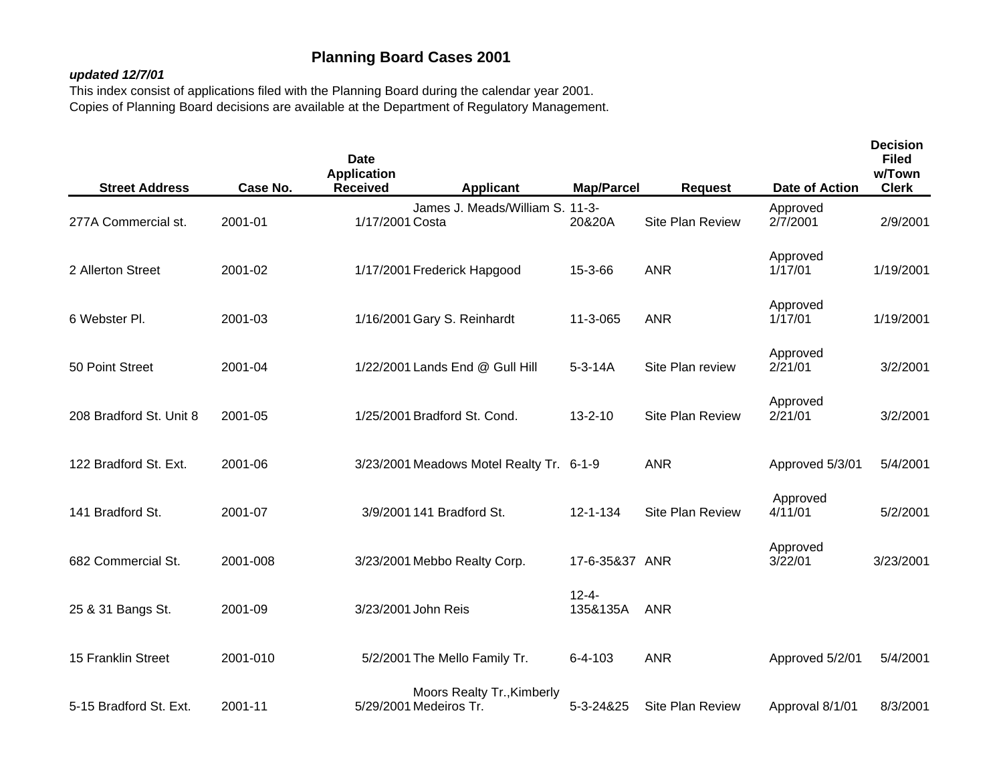## **Planning Board Cases 2001**

## *updated 12/7/01*

This index consist of applications filed with the Planning Board during the calendar year 2001. Copies of Planning Board decisions are available at the Department of Regulatory Management.

| <b>Street Address</b>   | Case No. | <b>Date</b><br><b>Application</b><br><b>Received</b> | <b>Applicant</b>                         | <b>Map/Parcel</b>      | <b>Request</b>          | Date of Action       | <b>Decision</b><br><b>Filed</b><br>w/Town<br><b>Clerk</b> |
|-------------------------|----------|------------------------------------------------------|------------------------------------------|------------------------|-------------------------|----------------------|-----------------------------------------------------------|
| 277A Commercial st.     | 2001-01  | 1/17/2001 Costa                                      | James J. Meads/William S. 11-3-          | 20&20A                 | Site Plan Review        | Approved<br>2/7/2001 | 2/9/2001                                                  |
| 2 Allerton Street       | 2001-02  |                                                      | 1/17/2001 Frederick Hapgood              | 15-3-66                | <b>ANR</b>              | Approved<br>1/17/01  | 1/19/2001                                                 |
| 6 Webster Pl.           | 2001-03  |                                                      | 1/16/2001 Gary S. Reinhardt              | 11-3-065               | <b>ANR</b>              | Approved<br>1/17/01  | 1/19/2001                                                 |
| 50 Point Street         | 2001-04  |                                                      | 1/22/2001 Lands End @ Gull Hill          | $5 - 3 - 14A$          | Site Plan review        | Approved<br>2/21/01  | 3/2/2001                                                  |
| 208 Bradford St. Unit 8 | 2001-05  |                                                      | 1/25/2001 Bradford St. Cond.             | $13 - 2 - 10$          | <b>Site Plan Review</b> | Approved<br>2/21/01  | 3/2/2001                                                  |
| 122 Bradford St. Ext.   | 2001-06  |                                                      | 3/23/2001 Meadows Motel Realty Tr. 6-1-9 |                        | <b>ANR</b>              | Approved 5/3/01      | 5/4/2001                                                  |
| 141 Bradford St.        | 2001-07  |                                                      | 3/9/2001 141 Bradford St.                | $12 - 1 - 134$         | Site Plan Review        | Approved<br>4/11/01  | 5/2/2001                                                  |
| 682 Commercial St.      | 2001-008 |                                                      | 3/23/2001 Mebbo Realty Corp.             | 17-6-35&37 ANR         |                         | Approved<br>3/22/01  | 3/23/2001                                                 |
| 25 & 31 Bangs St.       | 2001-09  | 3/23/2001 John Reis                                  |                                          | $12 - 4 -$<br>135&135A | <b>ANR</b>              |                      |                                                           |
| 15 Franklin Street      | 2001-010 |                                                      | 5/2/2001 The Mello Family Tr.            | $6 - 4 - 103$          | <b>ANR</b>              | Approved 5/2/01      | 5/4/2001                                                  |
| 5-15 Bradford St. Ext.  | 2001-11  | 5/29/2001 Medeiros Tr.                               | Moors Realty Tr., Kimberly               | 5-3-24&25              | Site Plan Review        | Approval 8/1/01      | 8/3/2001                                                  |